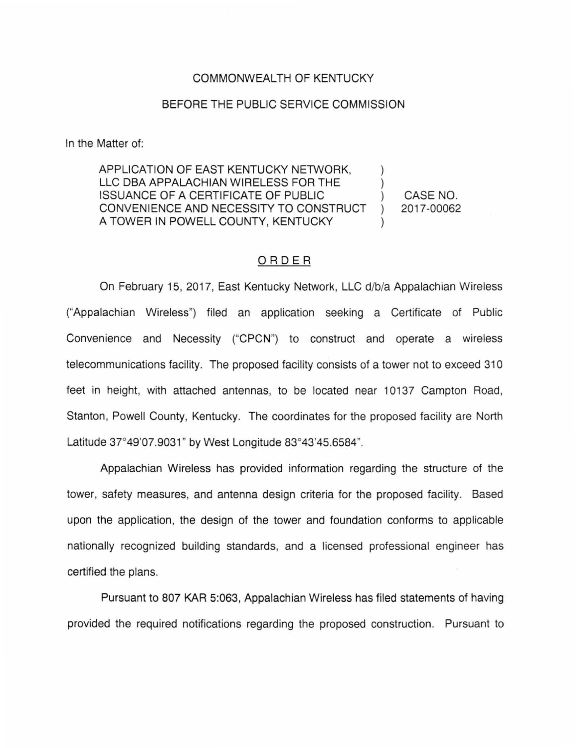## COMMONWEALTH OF KENTUCKY

## BEFORE THE PUBLIC SERVICE COMMISSION

In the Matter of:

APPLICATION OF EAST KENTUCKY NETWORK, LLC DBA APPALACHIAN WIRELESS FOR THE ISSUANCE OF A CERTIFICATE OF PUBLIC CONVENIENCE AND NECESSITY TO CONSTRUCT A TOWER IN POWELL COUNTY, KENTUCKY CASE NO. 2017-00062

## ORDER

On February 15, 2017, East Kentucky Network, LLC d/b/a Appalachian Wireless ("Appalachian Wireless") filed an application seeking a Certificate of Public Convenience and Necessity ("CPCN") to construct and operate a wireless telecommunications facility. The proposed facility consists of a tower not to exceed 310 feet in height, with attached antennas, to be located near 10137 Campton Road, Stanton, Powell County, Kentucky. The coordinates for the proposed facility are North Latitude 37°49'07.9031" by West Longitude 83°43'45.6584".

Appalachian Wireless has provided information regarding the structure of the tower, safety measures, and antenna design criteria for the proposed facility. Based upon the application, the design of the tower and foundation conforms to applicable nationally recognized building standards, and a licensed professional engineer has certified the plans.

Pursuant to 807 KAR 5:063, Appalachian Wireless has filed statements of having provided the required notifications regarding the proposed construction. Pursuant to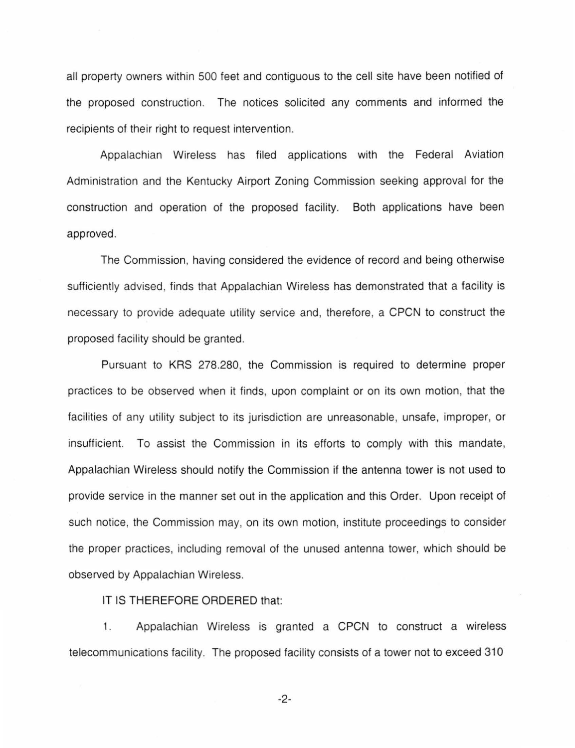all property owners within 500 feet and contiguous to the cell site have been notified of the proposed construction. The notices solicited any comments and informed the recipients of their right to request intervention.

Appalachian Wireless has filed applications with the Federal Aviation Administration and the Kentucky Airport Zoning Commission seeking approval for the construction and operation of the proposed facility. Both applications have been approved.

The Commission, having considered the evidence of record and being otherwise sufficiently advised, finds that Appalachian Wireless has demonstrated that a facility is necessary to provide adequate utility service and, therefore, a CPCN to construct the proposed facility should be granted.

Pursuant to KRS 278.280, the Commission is required to determine proper practices to be observed when it finds, upon complaint or on its own motion, that the facilities of any utility subject to its jurisdiction are unreasonable, unsafe, improper, or insufficient. To assist the Commission in its efforts to comply with this mandate, Appalachian Wireless should notify the Commission if the antenna tower is not used to provide service in the manner set out in the application and this Order. Upon receipt of such notice, the Commission may, on its own motion, institute proceedings to consider the proper practices, including removal of the unused antenna tower, which should be observed by Appalachian Wireless.

IT IS THEREFORE ORDERED that:

1. Appalachian Wireless is granted a CPCN to construct a wireless telecommunications facility. The proposed facility consists of a tower not to exceed 310

-2-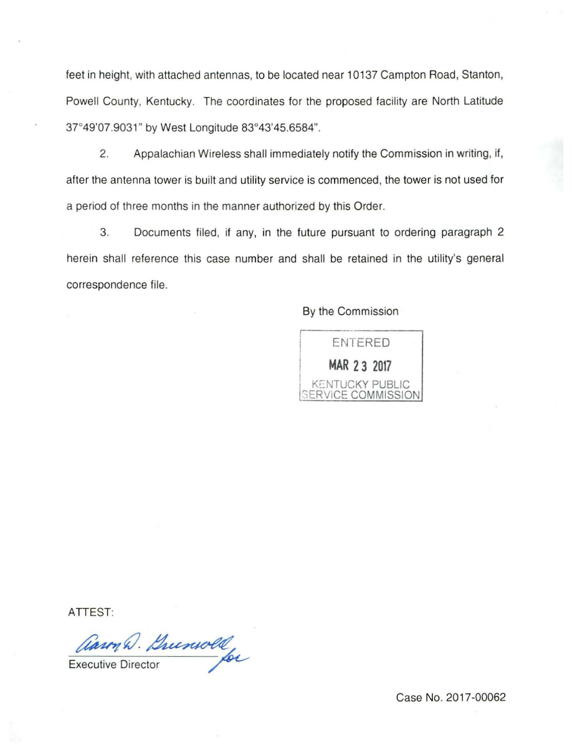feet in height, with attached antennas, to be located near 10137 Campton Road, Stanton, Powell County, Kentucky. The coordinates for the proposed facility are North Latitude 37°49'07.9031" by West Longitude 83°43'45.6584".

2. Appalachian Wireless shall immediately notify the Commission in writing, if, after the antenna tower is built and utility service is commenced, the tower is not used for a period of three months in the manner authorized by this Order.

3. Documents filed, if any, in the future pursuant to ordering paragraph 2 herein shall reference this case number and shall be retained in the utility's general correspondence file.

By the Commission



ATTEST:

Carm Q. Buenwold

Case No. 2017-00062